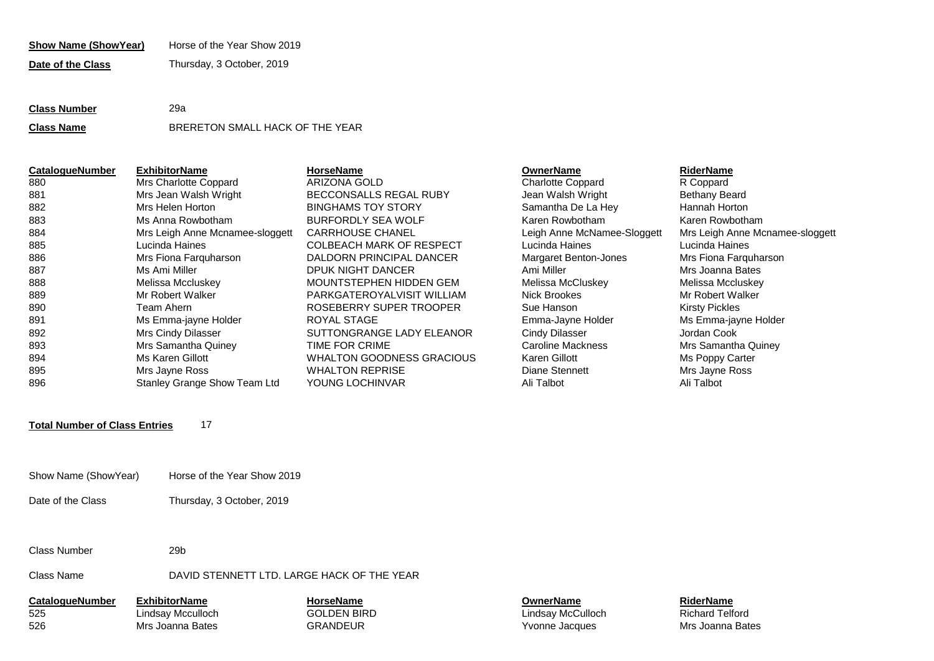| Horse of the Year Show 2019<br><b>Show Name (ShowYear)</b> |
|------------------------------------------------------------|
|------------------------------------------------------------|

**Date of the Class** Thursday, 3 October, 2019

# **Class Number** 29a **Class Name** BRERETON SMALL HACK OF THE YEAR

| <b>CatalogueNumber</b> | <b>ExhibitorName</b>            | <b>HorseName</b>                 | <b>OwnerName</b>            | <b>RiderName</b>      |
|------------------------|---------------------------------|----------------------------------|-----------------------------|-----------------------|
| 880                    | Mrs Charlotte Coppard           | ARIZONA GOLD                     | <b>Charlotte Coppard</b>    | R Coppard             |
| 881                    | Mrs Jean Walsh Wright           | BECCONSALLS REGAL RUBY           | Jean Walsh Wright           | <b>Bethany Beard</b>  |
| 882                    | Mrs Helen Horton                | <b>BINGHAMS TOY STORY</b>        | Samantha De La Hey          | Hannah Horton         |
| 883                    | Ms Anna Rowbotham               | <b>BURFORDLY SEA WOLF</b>        | Karen Rowbotham             | Karen Rowbotham       |
| 884                    | Mrs Leigh Anne Mcnamee-sloggett | <b>CARRHOUSE CHANEL</b>          | Leigh Anne McNamee-Sloggett | Mrs Leigh Anne Mcnam  |
| 885                    | Lucinda Haines                  | <b>COLBEACH MARK OF RESPECT</b>  | Lucinda Haines              | Lucinda Haines        |
| 886                    | Mrs Fiona Farguharson           | DALDORN PRINCIPAL DANCER         | Margaret Benton-Jones       | Mrs Fiona Farguharson |
| 887                    | Ms Ami Miller                   | DPUK NIGHT DANCER                | Ami Miller                  | Mrs Joanna Bates      |
| 888                    | Melissa Mccluskey               | MOUNTSTEPHEN HIDDEN GEM          | Melissa McCluskey           | Melissa Mccluskey     |
| 889                    | Mr Robert Walker                | PARKGATEROYALVISIT WILLIAM       | Nick Brookes                | Mr Robert Walker      |
| 890                    | Team Ahern                      | ROSEBERRY SUPER TROOPER          | Sue Hanson                  | <b>Kirsty Pickles</b> |
| 891                    | Ms Emma-jayne Holder            | ROYAL STAGE                      | Emma-Jayne Holder           | Ms Emma-jayne Holder  |
| 892                    | Mrs Cindy Dilasser              | SUTTONGRANGE LADY ELEANOR        | Cindy Dilasser              | Jordan Cook           |
| 893                    | Mrs Samantha Quiney             | TIME FOR CRIME                   | Caroline Mackness           | Mrs Samantha Quiney   |
| 894                    | Ms Karen Gillott                | <b>WHALTON GOODNESS GRACIOUS</b> | Karen Gillott               | Ms Poppy Carter       |
| 895                    | Mrs Jayne Ross                  | <b>WHALTON REPRISE</b>           | Diane Stennett              | Mrs Jayne Ross        |
| 896                    | Stanley Grange Show Team Ltd    | YOUNG LOCHINVAR                  | Ali Talbot                  | Ali Talbot            |

### **OwnerName**

Mrs Samantha Quinev Ms Emma-jayne Holder Mrs Leigh Anne Mcnamee-sloggett

# **Total Number of Class Entries** 17

- Show Name (ShowYear) Horse of the Year Show 2019
- Date of the Class Thursday, 3 October, 2019

Class Number 29b

## Class Name DAVID STENNETT LTD. LARGE HACK OF THE YEAR

**CatalogueNumber ExhibitorName HorseName OwnerName RiderName** 525 Lindsay Mcculloch GOLDEN BIRD Lindsay McCulloch Richard Telford 526 Mrs Joanna Bates GRANDEUR Yvonne Jacques Mrs Joanna Bates